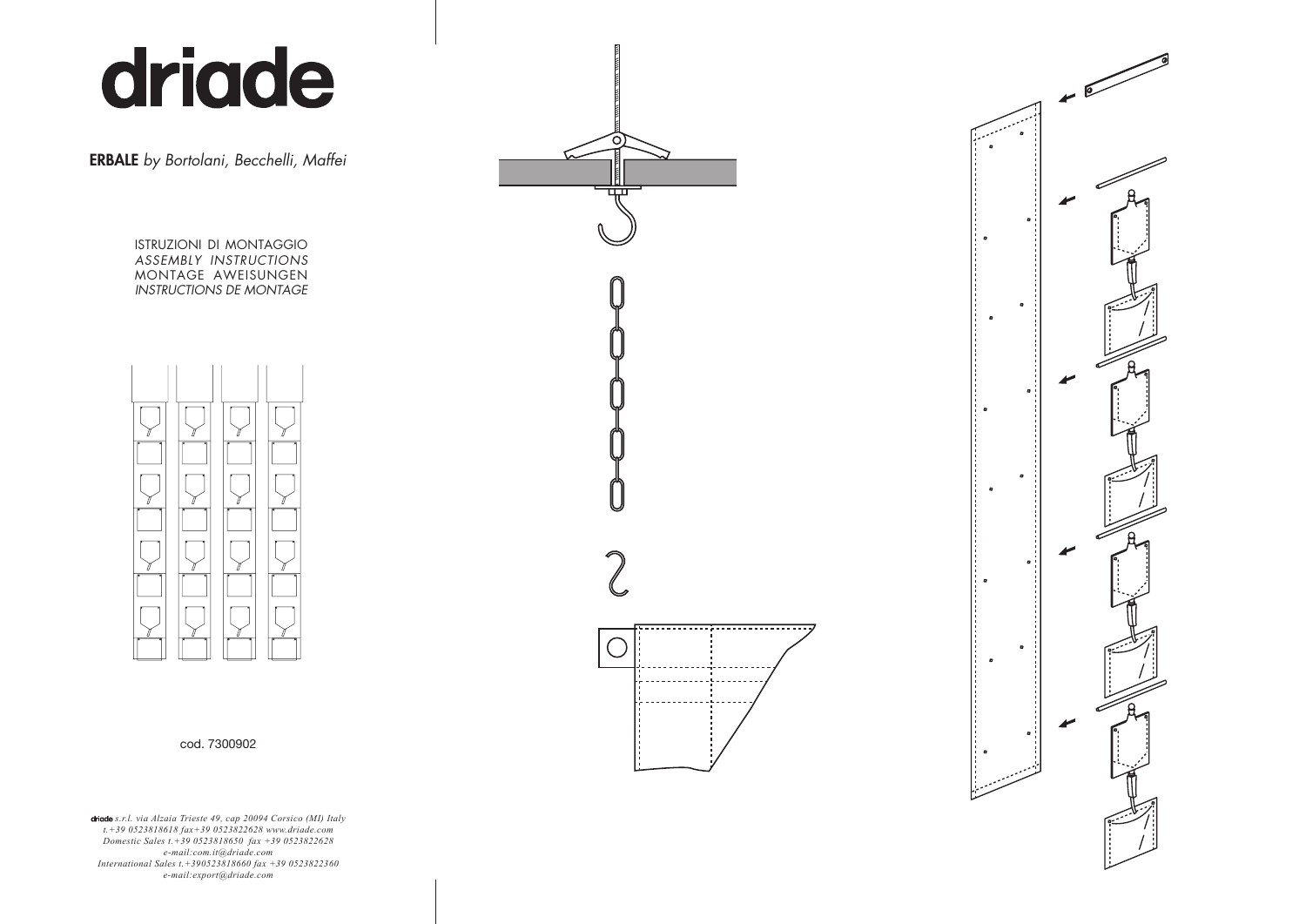# driade

ERBALE *by Bortolani, Becchelli, Maffei*

ISTRUZIONI DI MONTAGGIO *ASSEMBLY INSTRUCTIONS* MONTAGE AWEISUNGEN *INSTRUCTIONS DE MONTAGE*





*s.r.l. via Alzaia Trieste 49, cap 20094 Corsico (MI) Italy t.+39 0523818618 fax+39 0523822628 www.driade.com Domestic Sales t.+39 0523818650 fax +39 0523822628 e-mail:com.it@driade.com International Sales t.+390523818660 fax +39 0523822360 e-mail:export@driade.com*